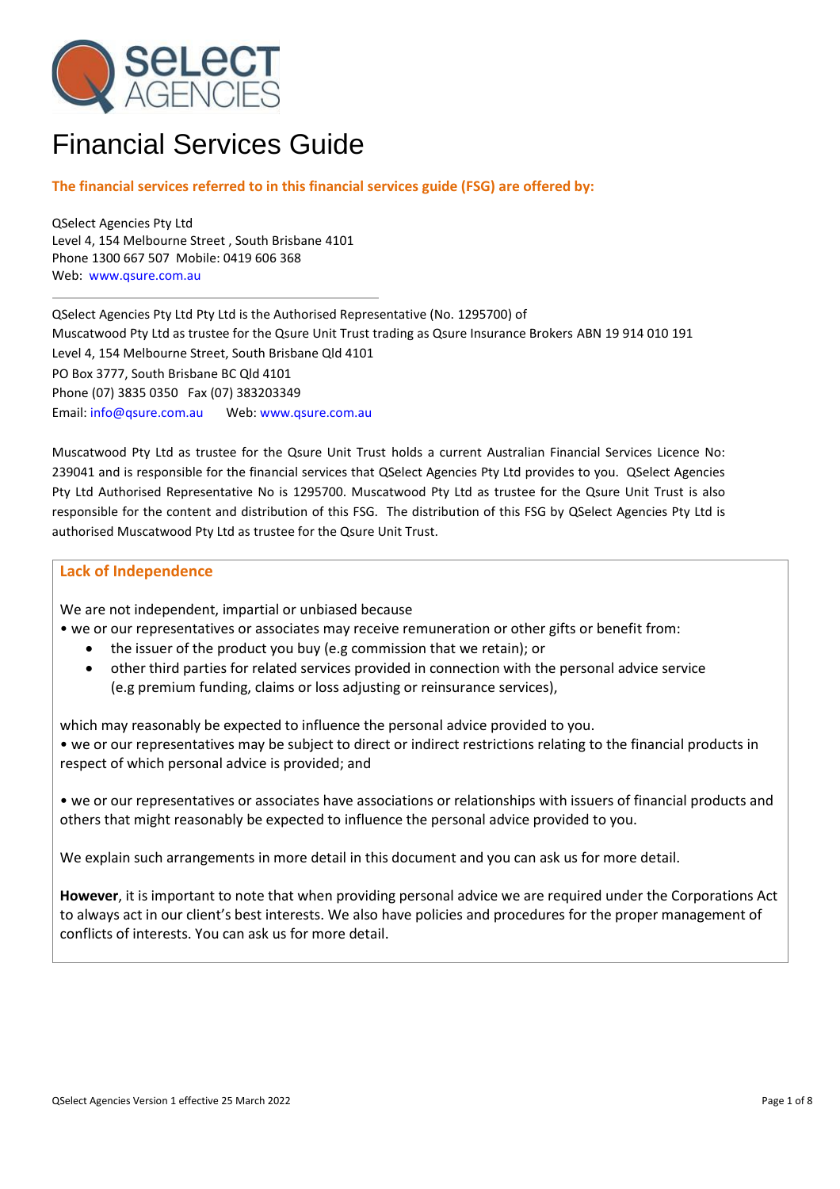

# Financial Services Guide

## **The financial services referred to in this financial services guide (FSG) are offered by:**

QSelect Agencies Pty Ltd Level 4, 154 Melbourne Street , South Brisbane 4101 Phone 1300 667 507 Mobile: 0419 606 368 Web: [www.qsure.com.au](http://www.qsure.com.au/)

QSelect Agencies Pty Ltd Pty Ltd is the Authorised Representative (No. 1295700) of Muscatwood Pty Ltd as trustee for the Qsure Unit Trust trading as Qsure Insurance Brokers ABN 19 914 010 191 Level 4, 154 Melbourne Street, South Brisbane Qld 4101 PO Box 3777, South Brisbane BC Qld 4101 Phone (07) 3835 0350 Fax (07) 383203349 Email: [info@qsure.com.au](mailto:info@qsure.com.au) Web: [www.qsure.com.au](http://www.qsure.com.au/)

Muscatwood Pty Ltd as trustee for the Qsure Unit Trust holds a current Australian Financial Services Licence No: 239041 and is responsible for the financial services that QSelect Agencies Pty Ltd provides to you. QSelect Agencies Pty Ltd Authorised Representative No is 1295700. Muscatwood Pty Ltd as trustee for the Qsure Unit Trust is also responsible for the content and distribution of this FSG. The distribution of this FSG by QSelect Agencies Pty Ltd is authorised Muscatwood Pty Ltd as trustee for the Qsure Unit Trust.

### **Lack of Independence**

We are not independent, impartial or unbiased because

- we or our representatives or associates may receive remuneration or other gifts or benefit from:
	- the issuer of the product you buy (e.g commission that we retain); or
	- other third parties for related services provided in connection with the personal advice service (e.g premium funding, claims or loss adjusting or reinsurance services),

which may reasonably be expected to influence the personal advice provided to you.

• we or our representatives may be subject to direct or indirect restrictions relating to the financial products in respect of which personal advice is provided; and

• we or our representatives or associates have associations or relationships with issuers of financial products and others that might reasonably be expected to influence the personal advice provided to you.

We explain such arrangements in more detail in this document and you can ask us for more detail.

**However**, it is important to note that when providing personal advice we are required under the Corporations Act to always act in our client's best interests. We also have policies and procedures for the proper management of conflicts of interests. You can ask us for more detail.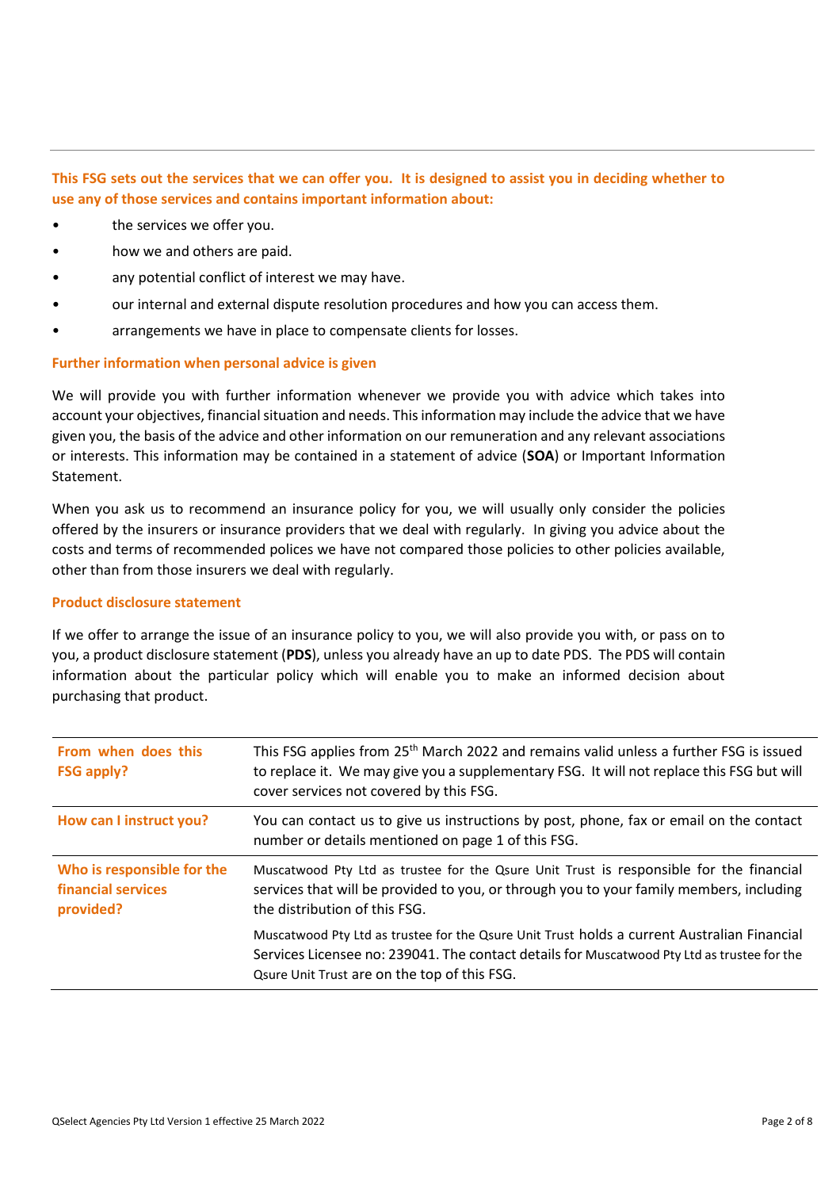## **This FSG sets out the services that we can offer you. It is designed to assist you in deciding whether to use any of those services and contains important information about:**

- the services we offer you.
- how we and others are paid.
- any potential conflict of interest we may have.
- our internal and external dispute resolution procedures and how you can access them.
- arrangements we have in place to compensate clients for losses.

## **Further information when personal advice is given**

We will provide you with further information whenever we provide you with advice which takes into account your objectives, financial situation and needs. This information may include the advice that we have given you, the basis of the advice and other information on our remuneration and any relevant associations or interests. This information may be contained in a statement of advice (**SOA**) or Important Information Statement.

When you ask us to recommend an insurance policy for you, we will usually only consider the policies offered by the insurers or insurance providers that we deal with regularly. In giving you advice about the costs and terms of recommended polices we have not compared those policies to other policies available, other than from those insurers we deal with regularly.

## **Product disclosure statement**

If we offer to arrange the issue of an insurance policy to you, we will also provide you with, or pass on to you, a product disclosure statement (**PDS**), unless you already have an up to date PDS. The PDS will contain information about the particular policy which will enable you to make an informed decision about purchasing that product.

| From when does this<br><b>FSG apply?</b>                      | This FSG applies from 25 <sup>th</sup> March 2022 and remains valid unless a further FSG is issued<br>to replace it. We may give you a supplementary FSG. It will not replace this FSG but will<br>cover services not covered by this FSG. |
|---------------------------------------------------------------|--------------------------------------------------------------------------------------------------------------------------------------------------------------------------------------------------------------------------------------------|
| How can I instruct you?                                       | You can contact us to give us instructions by post, phone, fax or email on the contact<br>number or details mentioned on page 1 of this FSG.                                                                                               |
| Who is responsible for the<br>financial services<br>provided? | Muscatwood Pty Ltd as trustee for the Qsure Unit Trust is responsible for the financial<br>services that will be provided to you, or through you to your family members, including<br>the distribution of this FSG.                        |
|                                                               | Muscatwood Pty Ltd as trustee for the Qsure Unit Trust holds a current Australian Financial<br>Services Licensee no: 239041. The contact details for Muscatwood Pty Ltd as trustee for the<br>Qsure Unit Trust are on the top of this FSG. |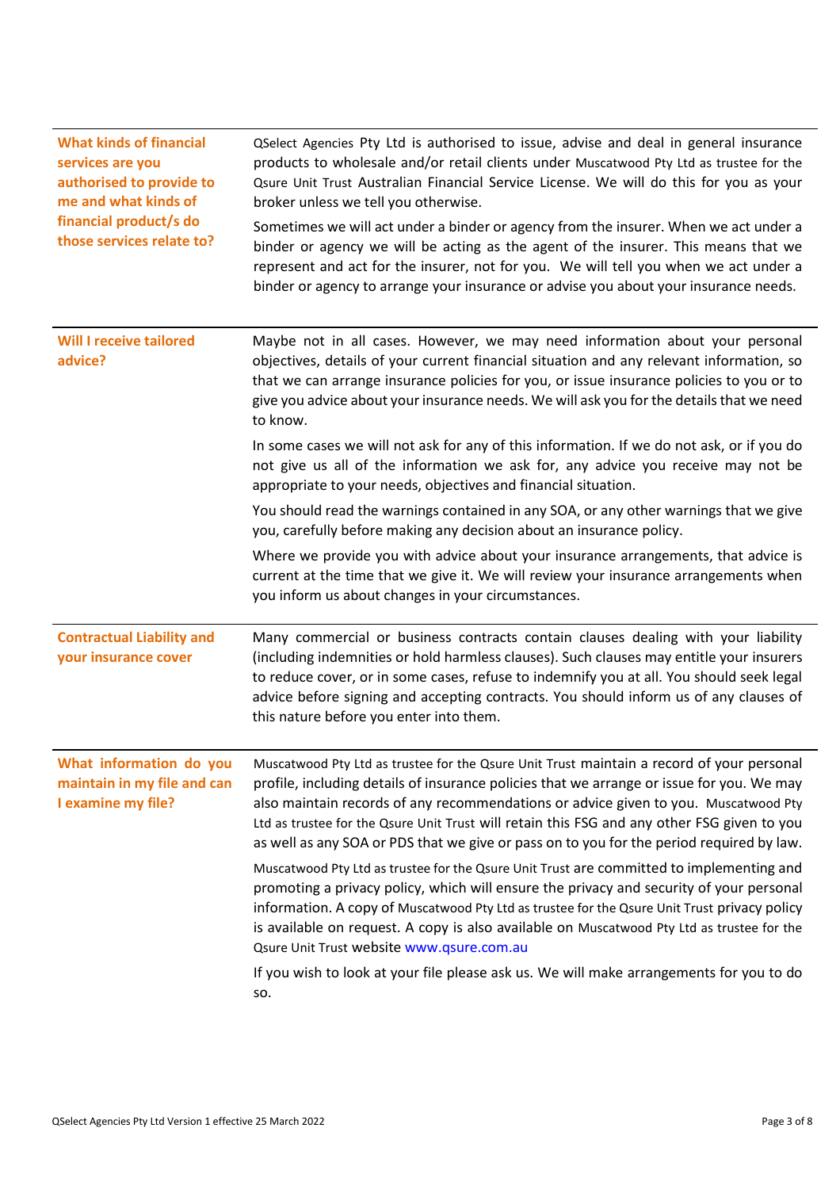| <b>What kinds of financial</b><br>services are you<br>authorised to provide to<br>me and what kinds of<br>financial product/s do<br>those services relate to? | QSelect Agencies Pty Ltd is authorised to issue, advise and deal in general insurance<br>products to wholesale and/or retail clients under Muscatwood Pty Ltd as trustee for the<br>Qsure Unit Trust Australian Financial Service License. We will do this for you as your<br>broker unless we tell you otherwise.                                                                                                                                                       |
|---------------------------------------------------------------------------------------------------------------------------------------------------------------|--------------------------------------------------------------------------------------------------------------------------------------------------------------------------------------------------------------------------------------------------------------------------------------------------------------------------------------------------------------------------------------------------------------------------------------------------------------------------|
|                                                                                                                                                               | Sometimes we will act under a binder or agency from the insurer. When we act under a<br>binder or agency we will be acting as the agent of the insurer. This means that we<br>represent and act for the insurer, not for you. We will tell you when we act under a<br>binder or agency to arrange your insurance or advise you about your insurance needs.                                                                                                               |
| <b>Will I receive tailored</b><br>advice?                                                                                                                     | Maybe not in all cases. However, we may need information about your personal<br>objectives, details of your current financial situation and any relevant information, so<br>that we can arrange insurance policies for you, or issue insurance policies to you or to<br>give you advice about your insurance needs. We will ask you for the details that we need<br>to know.                                                                                             |
|                                                                                                                                                               | In some cases we will not ask for any of this information. If we do not ask, or if you do<br>not give us all of the information we ask for, any advice you receive may not be<br>appropriate to your needs, objectives and financial situation.                                                                                                                                                                                                                          |
|                                                                                                                                                               | You should read the warnings contained in any SOA, or any other warnings that we give<br>you, carefully before making any decision about an insurance policy.                                                                                                                                                                                                                                                                                                            |
|                                                                                                                                                               | Where we provide you with advice about your insurance arrangements, that advice is<br>current at the time that we give it. We will review your insurance arrangements when<br>you inform us about changes in your circumstances.                                                                                                                                                                                                                                         |
| <b>Contractual Liability and</b><br>your insurance cover                                                                                                      | Many commercial or business contracts contain clauses dealing with your liability<br>(including indemnities or hold harmless clauses). Such clauses may entitle your insurers<br>to reduce cover, or in some cases, refuse to indemnify you at all. You should seek legal<br>advice before signing and accepting contracts. You should inform us of any clauses of<br>this nature before you enter into them.                                                            |
| What information do you<br>maintain in my file and can<br>I examine my file?                                                                                  | Muscatwood Pty Ltd as trustee for the Qsure Unit Trust maintain a record of your personal<br>profile, including details of insurance policies that we arrange or issue for you. We may<br>also maintain records of any recommendations or advice given to you. Muscatwood Pty<br>Ltd as trustee for the Qsure Unit Trust will retain this FSG and any other FSG given to you<br>as well as any SOA or PDS that we give or pass on to you for the period required by law. |
|                                                                                                                                                               | Muscatwood Pty Ltd as trustee for the Qsure Unit Trust are committed to implementing and<br>promoting a privacy policy, which will ensure the privacy and security of your personal<br>information. A copy of Muscatwood Pty Ltd as trustee for the Qsure Unit Trust privacy policy<br>is available on request. A copy is also available on Muscatwood Pty Ltd as trustee for the<br>Qsure Unit Trust website www.qsure.com.au                                           |
|                                                                                                                                                               | If you wish to look at your file please ask us. We will make arrangements for you to do<br>SO.                                                                                                                                                                                                                                                                                                                                                                           |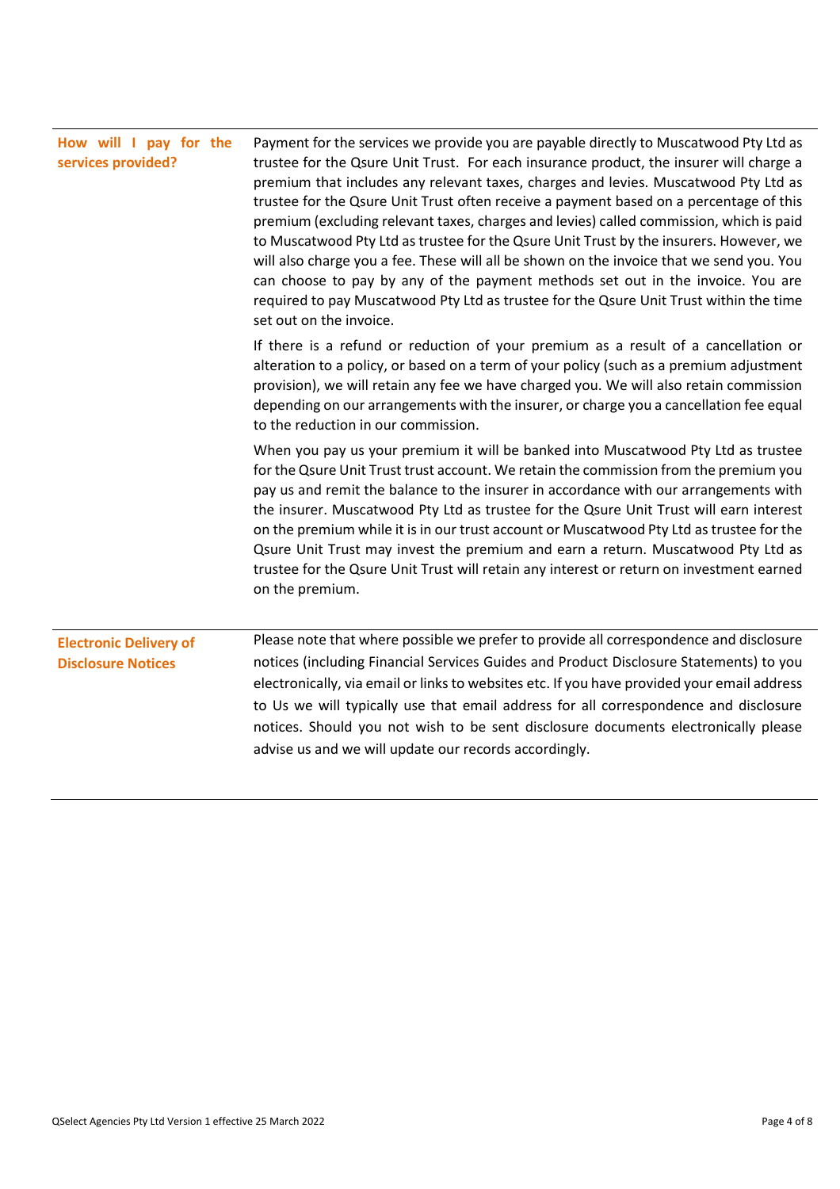| How will I pay for the<br>services provided?               | Payment for the services we provide you are payable directly to Muscatwood Pty Ltd as<br>trustee for the Qsure Unit Trust. For each insurance product, the insurer will charge a<br>premium that includes any relevant taxes, charges and levies. Muscatwood Pty Ltd as<br>trustee for the Qsure Unit Trust often receive a payment based on a percentage of this<br>premium (excluding relevant taxes, charges and levies) called commission, which is paid<br>to Muscatwood Pty Ltd as trustee for the Qsure Unit Trust by the insurers. However, we<br>will also charge you a fee. These will all be shown on the invoice that we send you. You<br>can choose to pay by any of the payment methods set out in the invoice. You are<br>required to pay Muscatwood Pty Ltd as trustee for the Qsure Unit Trust within the time<br>set out on the invoice. |  |  |
|------------------------------------------------------------|------------------------------------------------------------------------------------------------------------------------------------------------------------------------------------------------------------------------------------------------------------------------------------------------------------------------------------------------------------------------------------------------------------------------------------------------------------------------------------------------------------------------------------------------------------------------------------------------------------------------------------------------------------------------------------------------------------------------------------------------------------------------------------------------------------------------------------------------------------|--|--|
|                                                            | If there is a refund or reduction of your premium as a result of a cancellation or<br>alteration to a policy, or based on a term of your policy (such as a premium adjustment<br>provision), we will retain any fee we have charged you. We will also retain commission<br>depending on our arrangements with the insurer, or charge you a cancellation fee equal<br>to the reduction in our commission.                                                                                                                                                                                                                                                                                                                                                                                                                                                   |  |  |
|                                                            | When you pay us your premium it will be banked into Muscatwood Pty Ltd as trustee<br>for the Qsure Unit Trust trust account. We retain the commission from the premium you<br>pay us and remit the balance to the insurer in accordance with our arrangements with<br>the insurer. Muscatwood Pty Ltd as trustee for the Qsure Unit Trust will earn interest<br>on the premium while it is in our trust account or Muscatwood Pty Ltd as trustee for the<br>Qsure Unit Trust may invest the premium and earn a return. Muscatwood Pty Ltd as<br>trustee for the Qsure Unit Trust will retain any interest or return on investment earned<br>on the premium.                                                                                                                                                                                                |  |  |
| <b>Electronic Delivery of</b><br><b>Disclosure Notices</b> | Please note that where possible we prefer to provide all correspondence and disclosure<br>notices (including Financial Services Guides and Product Disclosure Statements) to you<br>electronically, via email or links to websites etc. If you have provided your email address<br>to Us we will typically use that email address for all correspondence and disclosure<br>notices. Should you not wish to be sent disclosure documents electronically please<br>advise us and we will update our records accordingly.                                                                                                                                                                                                                                                                                                                                     |  |  |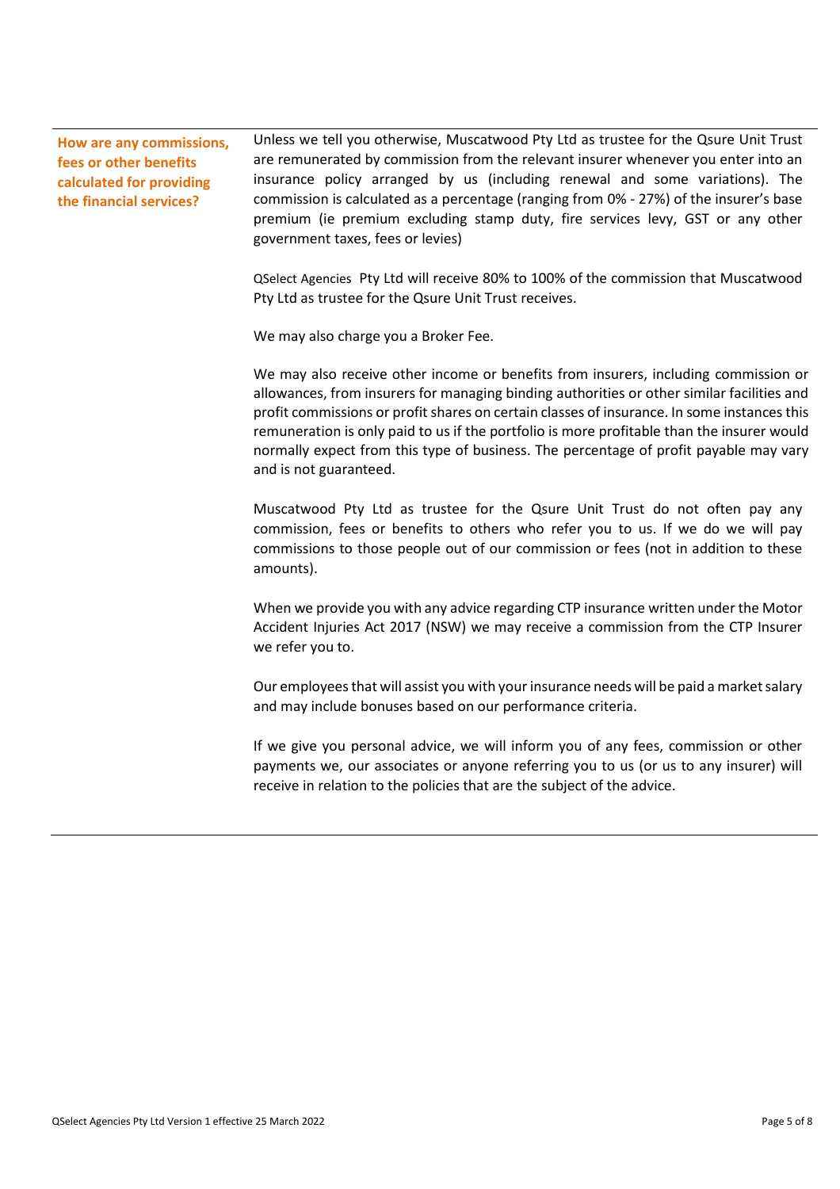**How are any commissions, fees or other benefits calculated for providing the financial services?**

Unless we tell you otherwise, Muscatwood Pty Ltd as trustee for the Qsure Unit Trust are remunerated by commission from the relevant insurer whenever you enter into an insurance policy arranged by us (including renewal and some variations). The commission is calculated as a percentage (ranging from 0% - 27%) of the insurer's base premium (ie premium excluding stamp duty, fire services levy, GST or any other government taxes, fees or levies)

QSelect Agencies Pty Ltd will receive 80% to 100% of the commission that Muscatwood Pty Ltd as trustee for the Qsure Unit Trust receives.

We may also charge you a Broker Fee.

We may also receive other income or benefits from insurers, including commission or allowances, from insurers for managing binding authorities or other similar facilities and profit commissions or profit shares on certain classes of insurance. In some instances this remuneration is only paid to us if the portfolio is more profitable than the insurer would normally expect from this type of business. The percentage of profit payable may vary and is not guaranteed.

Muscatwood Pty Ltd as trustee for the Qsure Unit Trust do not often pay any commission, fees or benefits to others who refer you to us. If we do we will pay commissions to those people out of our commission or fees (not in addition to these amounts).

When we provide you with any advice regarding CTP insurance written under the Motor Accident Injuries Act 2017 (NSW) we may receive a commission from the CTP Insurer we refer you to.

Our employees that will assist you with your insurance needs will be paid a market salary and may include bonuses based on our performance criteria.

If we give you personal advice, we will inform you of any fees, commission or other payments we, our associates or anyone referring you to us (or us to any insurer) will receive in relation to the policies that are the subject of the advice.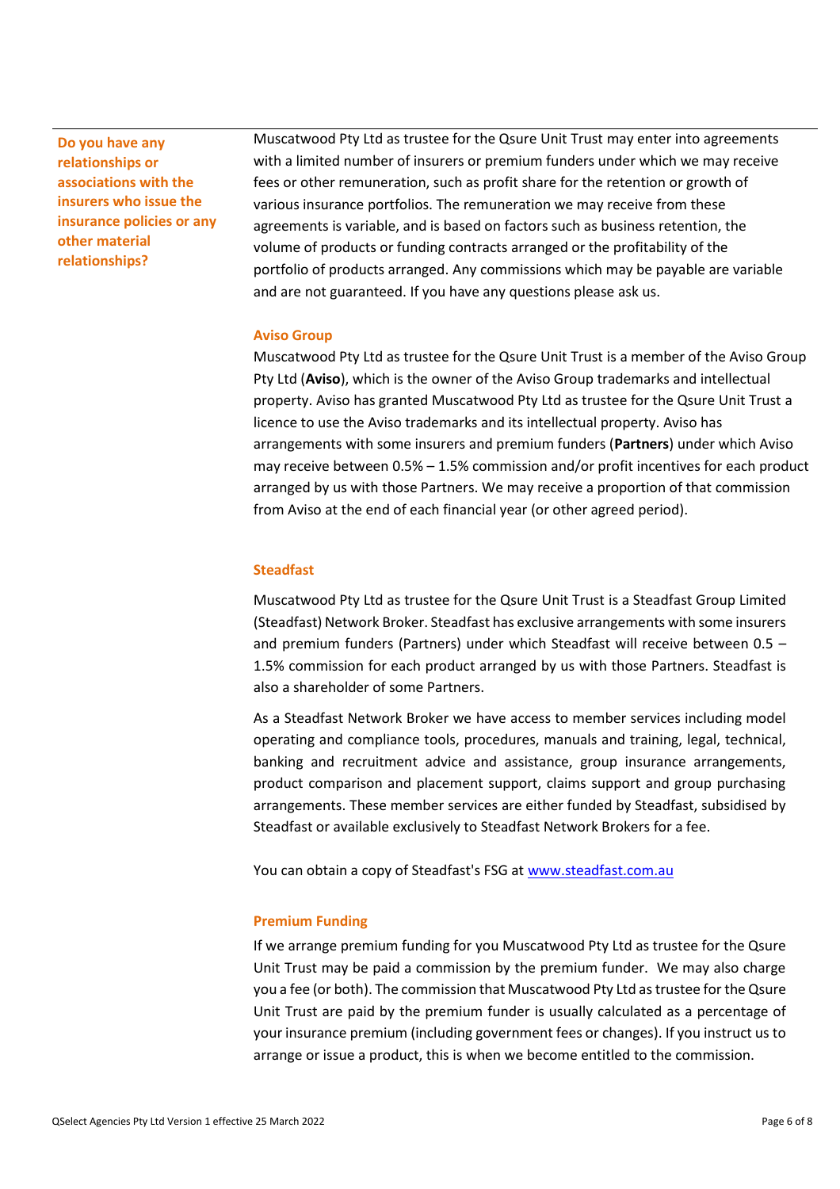**Do you have any relationships or associations with the insurers who issue the insurance policies or any other material relationships?**

Muscatwood Pty Ltd as trustee for the Qsure Unit Trust may enter into agreements with a limited number of insurers or premium funders under which we may receive fees or other remuneration, such as profit share for the retention or growth of various insurance portfolios. The remuneration we may receive from these agreements is variable, and is based on factors such as business retention, the volume of products or funding contracts arranged or the profitability of the portfolio of products arranged. Any commissions which may be payable are variable and are not guaranteed. If you have any questions please ask us.

#### **Aviso Group**

Muscatwood Pty Ltd as trustee for the Qsure Unit Trust is a member of the Aviso Group Pty Ltd (**Aviso**), which is the owner of the Aviso Group trademarks and intellectual property. Aviso has granted Muscatwood Pty Ltd as trustee for the Qsure Unit Trust a licence to use the Aviso trademarks and its intellectual property. Aviso has arrangements with some insurers and premium funders (**Partners**) under which Aviso may receive between 0.5% – 1.5% commission and/or profit incentives for each product arranged by us with those Partners. We may receive a proportion of that commission from Aviso at the end of each financial year (or other agreed period).

#### **Steadfast**

Muscatwood Pty Ltd as trustee for the Qsure Unit Trust is a Steadfast Group Limited (Steadfast) Network Broker. Steadfast has exclusive arrangements with some insurers and premium funders (Partners) under which Steadfast will receive between 0.5 – 1.5% commission for each product arranged by us with those Partners. Steadfast is also a shareholder of some Partners.

As a Steadfast Network Broker we have access to member services including model operating and compliance tools, procedures, manuals and training, legal, technical, banking and recruitment advice and assistance, group insurance arrangements, product comparison and placement support, claims support and group purchasing arrangements. These member services are either funded by Steadfast, subsidised by Steadfast or available exclusively to Steadfast Network Brokers for a fee.

You can obtain a copy of Steadfast's FSG a[t www.steadfast.com.au](http://www.steadfast.com.au/)

#### **Premium Funding**

If we arrange premium funding for you Muscatwood Pty Ltd as trustee for the Qsure Unit Trust may be paid a commission by the premium funder. We may also charge you a fee (or both). The commission that Muscatwood Pty Ltd as trustee for the Qsure Unit Trust are paid by the premium funder is usually calculated as a percentage of your insurance premium (including government fees or changes). If you instruct us to arrange or issue a product, this is when we become entitled to the commission.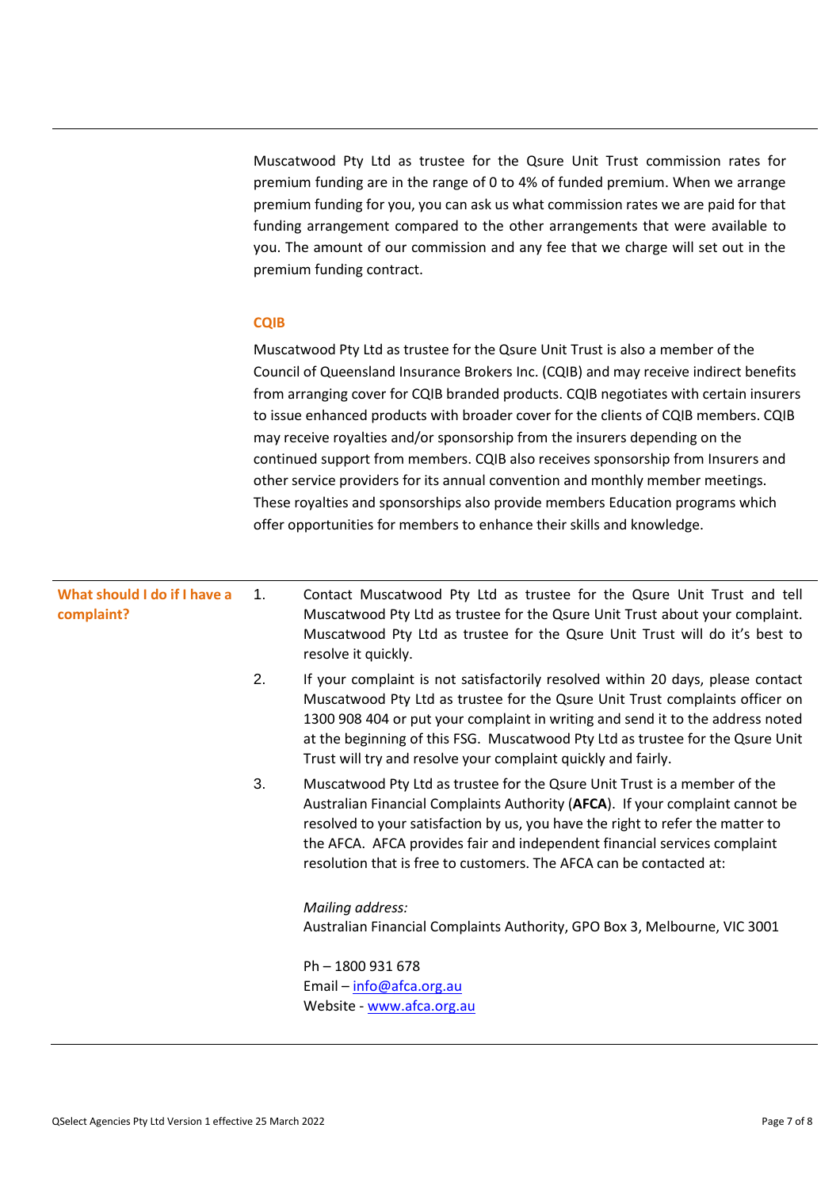Muscatwood Pty Ltd as trustee for the Qsure Unit Trust commission rates for premium funding are in the range of 0 to 4% of funded premium. When we arrange premium funding for you, you can ask us what commission rates we are paid for that funding arrangement compared to the other arrangements that were available to you. The amount of our commission and any fee that we charge will set out in the premium funding contract.

#### **CQIB**

Muscatwood Pty Ltd as trustee for the Qsure Unit Trust is also a member of the Council of Queensland Insurance Brokers Inc. (CQIB) and may receive indirect benefits from arranging cover for CQIB branded products. CQIB negotiates with certain insurers to issue enhanced products with broader cover for the clients of CQIB members. CQIB may receive royalties and/or sponsorship from the insurers depending on the continued support from members. CQIB also receives sponsorship from Insurers and other service providers for its annual convention and monthly member meetings. These royalties and sponsorships also provide members Education programs which offer opportunities for members to enhance their skills and knowledge.

| What should I do if I have a<br>complaint? | $\mathbf{1}$ . | Contact Muscatwood Pty Ltd as trustee for the Qsure Unit Trust and tell<br>Muscatwood Pty Ltd as trustee for the Qsure Unit Trust about your complaint.<br>Muscatwood Pty Ltd as trustee for the Qsure Unit Trust will do it's best to<br>resolve it quickly.                                                                                                                                        |
|--------------------------------------------|----------------|------------------------------------------------------------------------------------------------------------------------------------------------------------------------------------------------------------------------------------------------------------------------------------------------------------------------------------------------------------------------------------------------------|
|                                            | 2.             | If your complaint is not satisfactorily resolved within 20 days, please contact<br>Muscatwood Pty Ltd as trustee for the Qsure Unit Trust complaints officer on<br>1300 908 404 or put your complaint in writing and send it to the address noted<br>at the beginning of this FSG. Muscatwood Pty Ltd as trustee for the Qsure Unit<br>Trust will try and resolve your complaint quickly and fairly. |
|                                            | 3.             | Muscatwood Pty Ltd as trustee for the Qsure Unit Trust is a member of the<br>Australian Financial Complaints Authority (AFCA). If your complaint cannot be<br>resolved to your satisfaction by us, you have the right to refer the matter to<br>the AFCA. AFCA provides fair and independent financial services complaint<br>resolution that is free to customers. The AFCA can be contacted at:     |
|                                            |                | Mailing address:<br>Australian Financial Complaints Authority, GPO Box 3, Melbourne, VIC 3001                                                                                                                                                                                                                                                                                                        |
|                                            |                | Ph - 1800 931 678<br>Email - info@afca.org.au<br>Website - www.afca.org.au                                                                                                                                                                                                                                                                                                                           |